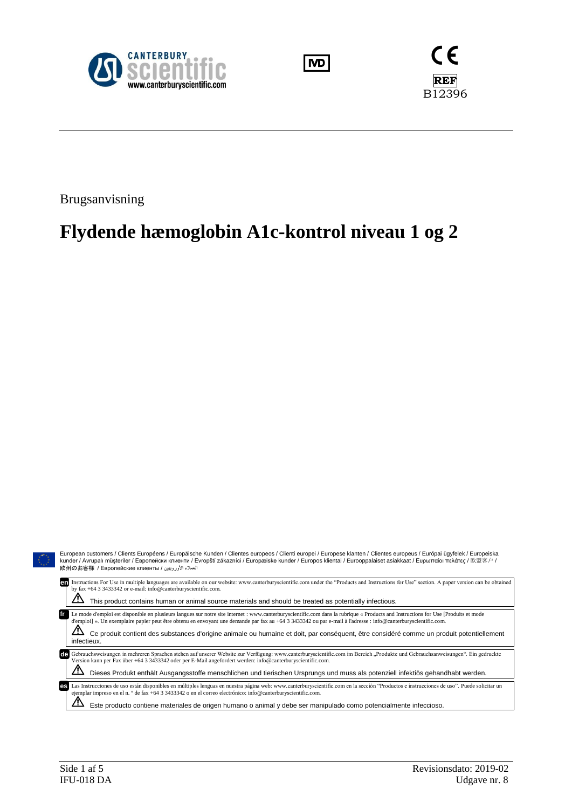





Brugsanvisning

# **Flydende hæmoglobin A1c-kontrol niveau 1 og 2**

| European customers / Clients Européens / Europäische Kunden / Clientes europeos / Clienti europei / Europese klanten / Clientes europeus / Európai ügyfelek / Europeiska<br>$\bigcirc$<br>kunder / Avrupalı müsteriler / Европейски клиенти / Evropští zákazníci / Europæiske kunder / Europos klientai / Eurooppalaiset asiakkaat / Ευρωπαίοι πελάτες / 欧盟客户 /<br>العملاء الأوروبيين / 欧州のお客様 / Европейские клиенты |                                                                                                                                                                                                                                                                                                                                                                                                                                                                                                                              |  |  |  |  |  |  |
|----------------------------------------------------------------------------------------------------------------------------------------------------------------------------------------------------------------------------------------------------------------------------------------------------------------------------------------------------------------------------------------------------------------------|------------------------------------------------------------------------------------------------------------------------------------------------------------------------------------------------------------------------------------------------------------------------------------------------------------------------------------------------------------------------------------------------------------------------------------------------------------------------------------------------------------------------------|--|--|--|--|--|--|
|                                                                                                                                                                                                                                                                                                                                                                                                                      | Instructions For Use in multiple languages are available on our website: www.canterburyscientific.com under the "Products and Instructions for Use" section. A paper version can be obtained<br>by fax +64 3 3433342 or e-mail: info@canterburyscientific.com.<br>This product contains human or animal source materials and should be treated as potentially infectious.                                                                                                                                                    |  |  |  |  |  |  |
|                                                                                                                                                                                                                                                                                                                                                                                                                      | Le mode d'emploi est disponible en plusieurs langues sur notre site internet : www.canterburyscientific.com dans la rubrique « Products and Instructions for Use [Produits et mode<br>d'emploi] ». Un exemplaire papier peut être obtenu en envoyant une demande par fax au +64 3 3433342 ou par e-mail à l'adresse : info@canterburyscientific.com.<br><u>/І</u><br>Ce produit contient des substances d'origine animale ou humaine et doit, par conséquent, être considéré comme un produit potentiellement<br>infectieux. |  |  |  |  |  |  |
|                                                                                                                                                                                                                                                                                                                                                                                                                      | cle Gebrauchsweisungen in mehreren Sprachen stehen auf unserer Website zur Verfügung: www.canterburyscientific.com im Bereich "Produkte und Gebrauchsanweisungen". Ein gedruckte<br>Version kann per Fax über +64 3 3433342 oder per E-Mail angefordert werden: info@canterburyscientific.com.<br><u>'!'</u><br>Dieses Produkt enthält Ausgangsstoffe menschlichen und tierischen Ursprungs und muss als potenziell infektiös gehandhabt werden.                                                                             |  |  |  |  |  |  |
|                                                                                                                                                                                                                                                                                                                                                                                                                      | Las Instrucciones de uso están disponibles en múltiples lenguas en nuestra página web: www.canterburyscientific.com en la sección "Productos e instrucciones de uso". Puede solicitar un<br>ejemplar impreso en el n. º de fax +64 3 3433342 o en el correo electrónico: info@canterburyscientific.com.<br>Este producto contiene materiales de origen humano o animal y debe ser manipulado como potencialmente infeccioso.                                                                                                 |  |  |  |  |  |  |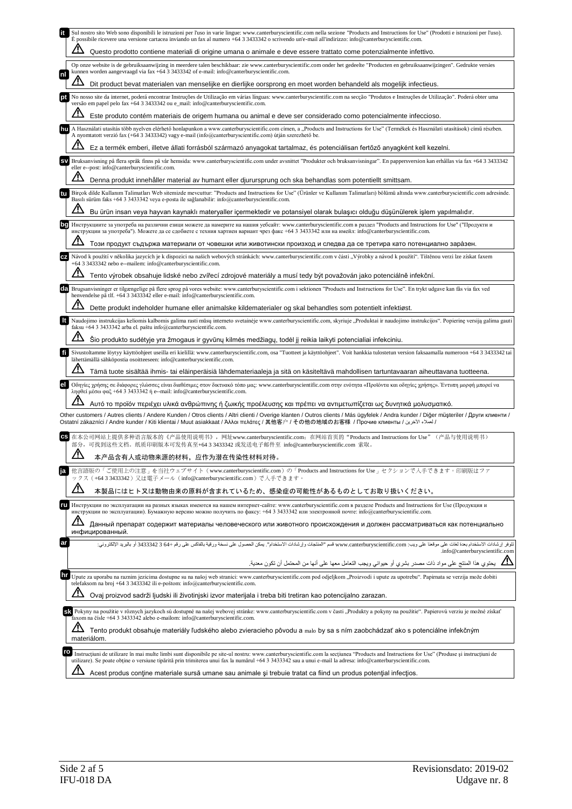|    | Sul nostro sito Web sono disponibili le istruzioni per l'uso in varie lingue: www.canterburyscientific.com nella sezione "Products and Instructions for Use" (Prodotti e istruzioni per l'uso).<br>È possibile ricevere una versione cartacea inviando un fax al numero +64 3 3433342 o scrivendo un'e-mail all'indirizzo: info@canterburyscientific.com. |
|----|-----------------------------------------------------------------------------------------------------------------------------------------------------------------------------------------------------------------------------------------------------------------------------------------------------------------------------------------------------------|
|    | Questo prodotto contiene materiali di origine umana o animale e deve essere trattato come potenzialmente infettivo.                                                                                                                                                                                                                                       |
| nl | Op onze website is de gebruiksaanwijzing in meerdere talen beschikbaar: zie www.canterburyscientific.com onder het gedeelte "Producten en gebruiksaanwijzingen". Gedrukte versies<br>kunnen worden aangevraagd via fax +64 3 3433342 of e-mail: info@canterburyscientific.com.                                                                            |
|    | Dit product bevat materialen van menselijke en dierlijke oorsprong en moet worden behandeld als mogelijk infectieus.                                                                                                                                                                                                                                      |
|    | No nosso site da internet, poderá encontrar Instruções de Utilização em várias línguas: www.canterburyscientific.com na secção "Produtos e Instruções de Utilização". Poderá obter uma<br>versão em papel pelo fax +64 3 3433342 ou e_mail: info@canterburyscientific.com.                                                                                |
|    | Este produto contém materiais de origem humana ou animal e deve ser considerado como potencialmente infeccioso.                                                                                                                                                                                                                                           |
|    | A Használati utasítás több nyelven elérhető honlapunkon a www.canterburyscientific.com címen, a "Products and Instructions for Use" (Termékek és Használati utasítások) című részben.<br>A nyomtatott verzió fax (+64 3 3433342) vagy e-mail (info@canterburyscientific.com) útján szerezhető be.                                                         |
|    | Ez a termék emberi, illetve állati forrásból származó anyagokat tartalmaz, és potenciálisan fertőző anyagként kell kezelni.                                                                                                                                                                                                                               |
|    | Bruksanvisning på flera språk finns på vår hemsida: www.canterburyscientific.com under avsnittet "Produkter och bruksanvisningar". En pappersversion kan erhållas via fax +64 3 3433342<br>eller e--post: info@canterburyscientific.com.                                                                                                                  |
|    | Denna produkt innehåller material av humant eller djurursprung och ska behandlas som potentiellt smittsam.                                                                                                                                                                                                                                                |
| tu | Birçok dilde Kullanım Talimatları Web sitemizde mevcuttur: "Products and Instructions for Use" (Ürünler ve Kullanım Talimatları) bölümü altında www.canterburyscientific.com adresinde.<br>Basılı sürüm faks +64 3 3433342 veya e-posta ile sağlanabilir: info@canterburyscientific.com.                                                                  |
|    | Bu ürün insan veya hayvan kaynaklı materyaller içermektedir ve potansiyel olarak bulaşıcı olduğu düşünülerek işlem yapılmalıdır.                                                                                                                                                                                                                          |
|    | Инструкциите за употреба на различни езици можете да намерите на нашия уебсайт: www.canterburyscientific.com в раздел "Products and Instructions for Use" ("Продукти и<br>инструкции за употреба"). Можете да се сдобиете с техния хартиен вариант чрез факс +64 3 3433342 или на имейл: info@canterburyscientific.com.                                   |
|    | Този продукт съдържа материали от човешки или животински произход и следва да се третира като потенциално зара̀зен.                                                                                                                                                                                                                                       |
|    | Návod k použití v několika jazycích je k dispozici na našich webových stránkách: www.canterburyscientific.com v části "Výrobky a návod k použití". Tištěnou verzi lze získat faxem<br>+64 3 3433342 nebo e--mailem: info@canterburyscientific.com.                                                                                                        |
|    | Tento výrobek obsahuje lidské nebo zvířecí zdrojové materiály a musí tedy být považován jako potenciálně infekční.                                                                                                                                                                                                                                        |
|    | Brugsanvisninger er tilgængelige på flere sprog på vores website: www.canterburyscientific.com i sektionen "Products and Instructions for Use". En trykt udgave kan fås via fax ved<br>henvendelse på tlf. +64 3 3433342 eller e-mail: info@canterburyscientific.com.                                                                                     |
|    | Dette produkt indeholder humane eller animalske kildematerialer og skal behandles som potentielt infektiøst.                                                                                                                                                                                                                                              |
|    | Naudojimo instrukcijas keliomis kalbomis galima rasti mūsų interneto svetainėje www.canterburyscientific.com, skyriuje "Produktai ir naudojimo instrukcijos". Popierinę versiją galima gauti<br>faksu +64 3 3433342 arba el. paštu info@canterburyscientific.com.                                                                                         |
|    | Šio produkto sudėtyje yra žmogaus ir gyvūnų kilmės medžiagų, todėl jį reikia laikyti potencialiai infekciniu.                                                                                                                                                                                                                                             |
| fī | Sivustoltamme löytyy käyttöohjeet useilla eri kielillä: www.canterburyscientific.com, osa "Tuotteet ja käyttöohjeet". Voit hankkia tulostetun version faksaamalla numeroon +64 3 3433342 tai<br>lähettämällä sähköpostia osoitteeseen: info@canterburyscientific.com.                                                                                     |
|    | Tämä tuote sisältää ihmis- tai eläinperäisiä lähdemateriaaleja ja sitä on käsiteltävä mahdollisen tartuntavaaran aiheuttavana tuotteena.                                                                                                                                                                                                                  |
|    | Οδηγίες χρήσης σε διάφορες γλώσσες είναι διαθέσιμες στον δικτυακό τόπο μας: www.canterburyscientific.com στην ενότητα «Προϊόντα και οδηγίες χρήσης». Έντυπη μορφή μπορεί να<br>ληφθεί μέσω φαξ +64 3 3433342 ή e--mail: info@canterburyscientific.com.                                                                                                    |
|    | Αυτό το προϊόν περιέχει υλικά ανθρώπινης ή ζωικής προέλευσης και πρέπει να αντιμετωπίζεται ως δυνητικά μολυσματικό.                                                                                                                                                                                                                                       |
|    | Other customers / Autres clients / Andere Kunden / Otros clients / Altri clienti / Overige klanten / Outros clients / Más ügyfelek / Andra kunder / Diğer müsteriler / Други клиенти /<br>/ لعملاء الآخرين / Ostatní zákazníci / Andre kunder / Kiti klientai / Muut asiakkaat / Άλλοι πελάτες / 其他客户 / その他の地域のお客様 / Προчие клиенты / كملاء الآخرين       |
|    | 在本公司网站上提供多种语言版本的《产品使用说明书》,网址www.canterburyscientific.com; 在网站首页的"Products and Instructions for Use"(产品与使用说明书)<br>部分,可找到这些文档。纸质印刷版本可发传真至+64 3 3433342 或发送电子邮件至 info@canterburyscientific.com 索取。                                                                                                                                                           |
|    | 本产品含有人或动物来源的材料,应作为潜在传染性材料对待                                                                                                                                                                                                                                                                                                                               |
|    | 他言語版の「ご使用上の注意」を当社ウェブサイト (www.canterburyscientific.com) の「Products and Instructions for Use」セクションで入手できます。印刷版はファ<br>ックス (+643343342) 又は電子メール (info@canterburyscientific.com) で入手できます。                                                                                                                                                                       |
|    | /!\<br>本製品にはヒト又は動物由来の原料が含まれているため、感染症の可能性があるものとしてお取り扱いください。                                                                                                                                                                                                                                                                                                |
| ru | Инструкции по эксплуатации на разных языках имеются на нашем интернет-сайте: www.canterburyscientific.com в разделе Products and Instructions for Use (Продукция и<br>инструкции по эксплуатации). Бумажную версию можно получить по факсу: +64 3 3433342 или электронной почте: info@canterburyscientific.com.                                           |
|    | Данный препарат содержит материалы человеческого или животного происхождения и должен рассматриваться как потенциально<br>инфицированный.                                                                                                                                                                                                                 |
| ar | تثوفر إرشادات الاستخدام بعدة لغات على موقعنا على ويب: www.canterburyscientific.com قسم "المنتجات وإرشادات الاستخدام". يمكن الحصول على نسخة ورقية بالفاكس على رقم +64 343342 أو بالبريد الإلكتروني:<br>.info@canterburyscientific.com                                                                                                                      |
|    | يحتوي هذا المنتج على مواد ذات مصدر بشري أو حيواني ويجب التعامل معها على أنها من المحتمل أن تكون معدية <sub>.</sub>                                                                                                                                                                                                                                        |
| hr | Upute za uporabu na raznim jezicima dostupne su na našoj web stranici: www.canterburyscientific.com pod odjeljkom "Proizvodi i upute za upotrebu". Papirnata se verzija može dobiti                                                                                                                                                                       |
|    | telefaksom na broj +64 3 3433342 ili e-poštom: info@canterburyscientific.com.<br>Ovaj proizvod sadrži ljudski ili životinjski izvor materijala i treba biti tretiran kao potencijalno zarazan.                                                                                                                                                            |
|    |                                                                                                                                                                                                                                                                                                                                                           |
|    | SK Pokyny na použitie v rôznych jazykoch sú dostupné na našej webovej stránke: www.canterburyscientific.com v časti "Produkty a pokyny na použitie". Papierovú verziu je možné získať<br>faxom na čísle +64 3 3433342 alebo e-mailom: info@canterburyscientific.com.                                                                                      |
|    | Tento produkt obsahuje materiály ľudského alebo zvieracieho pôvodu a malo by sa s ním zaobchádzať ako s potenciálne infekčným<br>materiálom.                                                                                                                                                                                                              |
| ro | Instrucțiuni de utilizare în mai multe limbi sunt disponibile pe site-ul nostru: www.canterburyscientific.com la secțiunea "Products and Instructions for Use" (Produse și instrucțiuni de                                                                                                                                                                |
|    | utilizare). Se poate obtine o versiune tipărită prin trimiterea unui fax la numărul +64 3 3433342 sau a unui e-mail la adresa: info@canterburyscientific.com.<br>∠r                                                                                                                                                                                       |
|    | Acest produs contine materiale sursă umane sau animale și trebuie tratat ca fiind un produs potențial infecțios.                                                                                                                                                                                                                                          |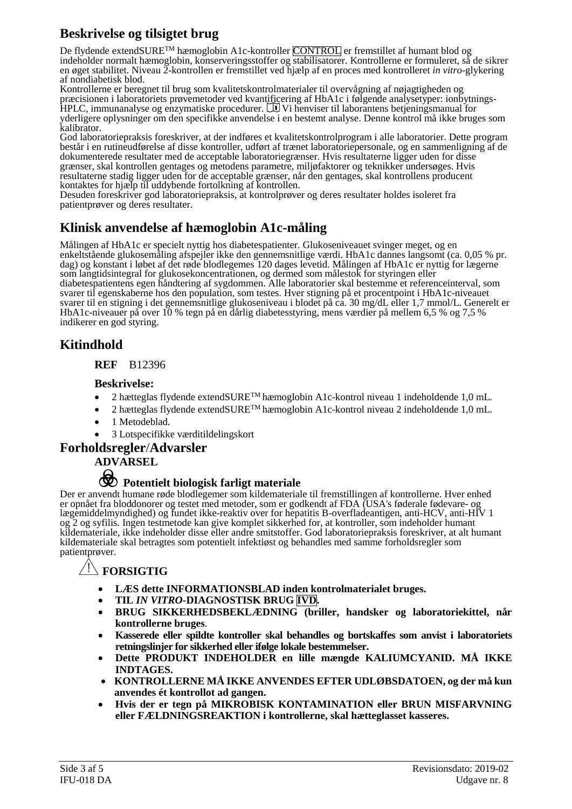# **Beskrivelse og tilsigtet brug**

De flydende extendSURE™ hæmoglobin A1c-kontroller CONTROL er fremstillet af humant blod og indeholder normalt hæmoglobin, konserveringsstoffer og stabilisatorer. Kontrollerne er formuleret, så de sikrer en øget stabilitet. Niveau 2-kontrollen er fremstillet ved hjælp af en proces med kontrolleret *in vitro*-glykering af nondiabetisk blod.

Kontrollerne er beregnet til brug som kvalitetskontrolmaterialer til overvågning af nøjagtigheden og præcisionen i laboratoriets prøvemetoder ved kvantificering af HbA1c i følgende analysetyper: ionbytnings-<br>HPLC, immunanalyse og enzymatiske procedurer. UU Vi henviser til laborantens betjeningsmanual for yderligere oplysninger om den specifikke anvendelse i en bestemt analyse. Denne kontrol må ikke bruges som kalibrator.

God laboratoriepraksis foreskriver, at der indføres et kvalitetskontrolprogram i alle laboratorier. Dette program består i en rutineudførelse af disse kontroller, udført af trænet laboratoriepersonale, og en sammenligning af de dokumenterede resultater med de acceptable laboratoriegrænser. Hvis resultaterne ligger uden for disse grænser, skal kontrollen gentages og metodens parametre, miljøfaktorer og teknikker undersøges. Hvis resultaterne stadig ligger uden for de acceptable grænser, når den gentages, skal kontrollens producent kontaktes for hjælp til uddybende fortolkning af kontrollen.

Desuden foreskriver god laboratoriepraksis, at kontrolprøver og deres resultater holdes isoleret fra patientprøver og deres resultater.

# **Klinisk anvendelse af hæmoglobin A1c-måling**

Målingen af HbA1c er specielt nyttig hos diabetespatienter. Glukoseniveauet svinger meget, og en enkeltstående glukosemåling afspejler ikke den gennemsnitlige værdi. HbA1c dannes langsomt (ca. 0,05 % pr. dag) og konstant i løbet af det røde blodlegemes 120 dages levetid. Målingen af HbA1c er nyttig for lægerne som langtidsintegral for glukosekoncentrationen, og dermed som målestok for styringen eller diabetespatientens egen håndtering af sygdommen. Alle laboratorier skal bestemme et referenceinterval, som svarer til egenskaberne hos den population, som testes. Hver stigning på et procentpoint i HbA1c-niveauet svarer til en stigning i det gennemsnitlige glukoseniveau i blodet på ca. 30 mg/dL eller 1,7 mmol/L. Generelt er HbA1c-niveauer på over 10 % tegn på en dårlig diabetesstyring, mens værdier på mellem 6,5 % og 7,5 % indikerer en god styring.

## **Kitindhold**

#### **REF** B12396

#### **Beskrivelse:**

- 2 hætteglas flydende extendSURE<sup>TM</sup> hæmoglobin A1c-kontrol niveau 1 indeholdende 1,0 mL.
- 2 hætteglas flydende extendSURETM hæmoglobin A1c-kontrol niveau 2 indeholdende 1,0 mL.
- 1 Metodeblad.
- 3 Lotspecifikke værditildelingskort

#### **Forholdsregler**/**Advarsler**

**ADVARSEL**

# F **Potentielt biologisk farligt materiale**

Der er anvendt humane røde blodlegemer som kildemateriale til fremstillingen af kontrollerne. Hver enhed er opnået fra bloddonorer og testet med metoder, som er godkendt af FDA (USA's føderale fødevare- og lægemiddelmyndighed) og fundet ikke-reaktiv over for hepatitis B-overfladeantigen, anti-HCV, anti-HIV 1 og 2 og syfilis. Ingen testmetode kan give komplet sikkerhed for, at kontroller, som indeholder humant kildemateriale, ikke indeholder disse eller andre smitstoffer. God laboratoriepraksis foreskriver, at alt humant kildemateriale skal betragtes som potentielt infektiøst og behandles med samme forholdsregler som patientprøver.

### **Y FORSIGTIG**

- **LÆS dette INFORMATIONSBLAD inden kontrolmaterialet bruges.**
- **TIL** *IN VITRO***-DIAGNOSTISK BRUG IVD.**
- **BRUG SIKKERHEDSBEKLÆDNING (briller, handsker og laboratoriekittel, når kontrollerne bruges***.*
- **Kasserede eller spildte kontroller skal behandles og bortskaffes som anvist i laboratoriets retningslinjer for sikkerhed eller ifølge lokale bestemmelser.**
- **Dette PRODUKT INDEHOLDER en lille mængde KALIUMCYANID. MÅ IKKE INDTAGES.**
- **KONTROLLERNE MÅ IKKE ANVENDES EFTER UDLØBSDATOEN, og der må kun anvendes ét kontrollot ad gangen.**
- **Hvis der er tegn på MIKROBISK KONTAMINATION eller BRUN MISFARVNING eller FÆLDNINGSREAKTION i kontrollerne, skal hætteglasset kasseres.**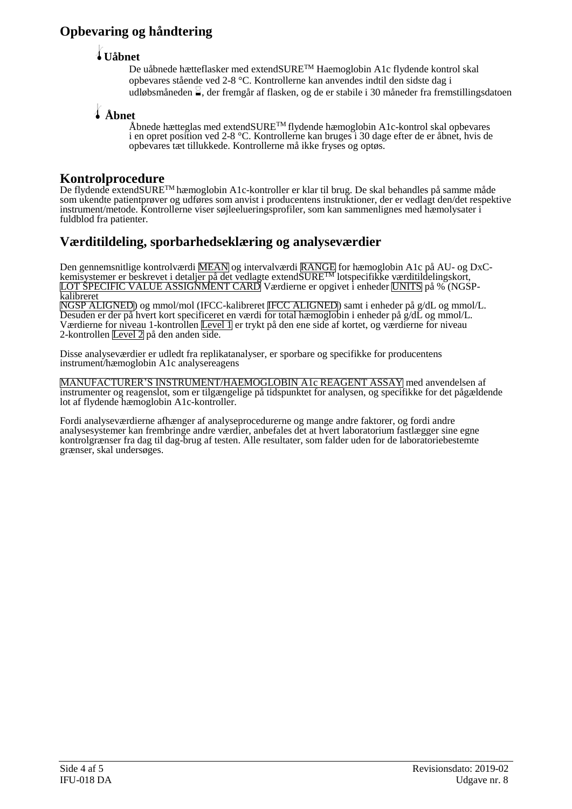# **Opbevaring og håndtering**

## l**Uåbnet**

De uåbnede hætteflasker med extendSURETM Haemoglobin A1c flydende kontrol skal opbevares stående ved 2-8 °C. Kontrollerne kan anvendes indtil den sidste dag i udløbsmåneden  $\frac{1}{2}$ , der fremgår af flasken, og de er stabile i 30 måneder fra fremstillingsdatoen

# l **Åbnet**

Åbnede hætteglas med extendSURETM flydende hæmoglobin A1c-kontrol skal opbevares i en opret position ved 2-8 °C. Kontrollerne kan bruges i 30 dage efter de er åbnet, hvis de opbevares tæt tillukkede. Kontrollerne må ikke fryses og optøs.

## **Kontrolprocedure**

De flydende extendSURETM hæmoglobin A1c-kontroller er klar til brug. De skal behandles på samme måde som ukendte patientprøver og udføres som anvist i producentens instruktioner, der er vedlagt den/det respektive instrument/metode. Kontrollerne viser søjleelueringsprofiler, som kan sammenlignes med hæmolysater i fuldblod fra patienter.

# **Værditildeling, sporbarhedseklæring og analyseværdier**

Den gennemsnitlige kontrolværdi <mark>MEAN</mark> og intervalværdi <mark>RANGE</mark> for hæmoglobin A1c på AU- og DxCkemisystemer er beskrevet i detaljer på det vedlagte extend $\overline{\text{SURE}^{\text{TM}}}$ lotspecifikke <u>værditil</u>delingskort, LOT SPECIFIC VALUE ASSIGNMENT CARD Værdierne er opgivet i enheder UNITS på % (NGSPkalibreret NGSP ALIGNED) og mmol/mol (IFCC-kalibreret IFCC ALIGNED) samt i enheder på g/dL og mmol/L.

Desuden er der på hvert kort specificeret en værdi for total hæmoglobin i enheder på g/dL og mmol/L. Værdierne for niveau 1-kontrollen Level I er trykt på den ene side af kortet, og værdierne for niveau 2-kontrollen Level 2 på den anden side.

Disse analyseværdier er udledt fra replikatanalyser, er sporbare og specifikke for producentens instrument/hæmoglobin A1c analysereagens

MANUFACTURER'S INSTRUMENT/HAEMOGLOBIN A1c REAGENT ASSAY med anvendelsen af instrumenter og reagenslot, som er tilgængelige på tidspunktet for analysen, og specifikke for det pågældende lot af flydende hæmoglobin A1c-kontroller.

Fordi analyseværdierne afhænger af analyseprocedurerne og mange andre faktorer, og fordi andre analysesystemer kan frembringe andre værdier, anbefales det at hvert laboratorium fastlægger sine egne kontrolgrænser fra dag til dag-brug af testen. Alle resultater, som falder uden for de laboratoriebestemte grænser, skal undersøges.